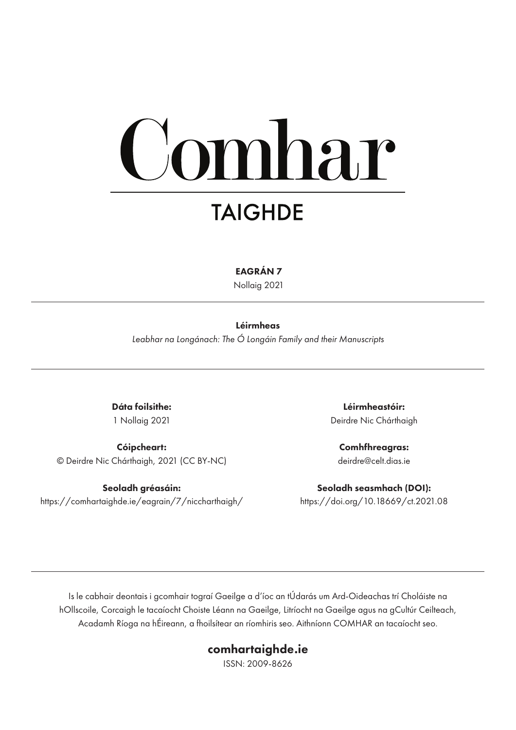# omhar **TAIGHDE**

EAGRÁN 7

Nollaig 2021

#### Léirmheas

*Leabhar na Longánach: The Ó Longáin Family and their Manuscripts*

Dáta foilsithe: 1 Nollaig 2021

Cóipcheart: © Deirdre Nic Chárthaigh, 2021 (CC BY-NC)

Seoladh gréasáin: https://comhartaighde.ie/eagrain/7/niccharthaigh/

Léirmheastóir: Deirdre Nic Chárthaigh

Comhfhreagras: deirdre@celt.dias.ie

Seoladh seasmhach (DOI): https://doi.org/10.18669/ct.2021.08

Is le cabhair deontais i gcomhair tograí Gaeilge a d'íoc an tÚdarás um Ard-Oideachas trí Choláiste na hOllscoile, Corcaigh le tacaíocht Choiste Léann na Gaeilge, Litríocht na Gaeilge agus na gCultúr Ceilteach, Acadamh Ríoga na hÉireann, a fhoilsítear an ríomhiris seo. Aithníonn COMHAR an tacaíocht seo.

### comhartaighde.ie

ISSN: 2009-8626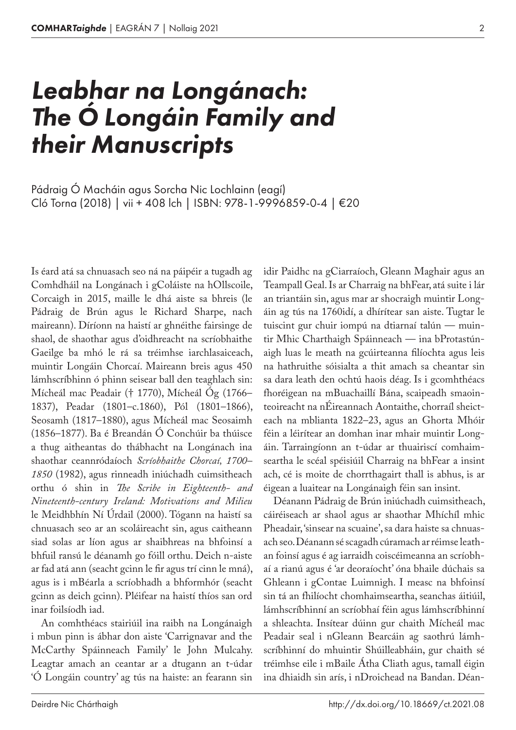# *Leabhar na Longánach: The Ó Longáin Family and their Manuscripts*

Cló Torna (2018) | vii + 408 lch | ISBN: 978-1-9996859-0-4 | €20 Pádraig Ó Macháin agus Sorcha Nic Lochlainn (eagí)

Is éard atá sa chnuasach seo ná na páipéir a tugadh ag Comhdháil na Longánach i gColáiste na hOllscoile, Corcaigh in 2015, maille le dhá aiste sa bhreis (le Pádraig de Brún agus le Richard Sharpe, nach maireann). Díríonn na haistí ar ghnéithe fairsinge de shaol, de shaothar agus d'oidhreacht na scríobhaithe Gaeilge ba mhó le rá sa tréimhse iarchlasaiceach, muintir Longáin Chorcaí. Maireann breis agus 450 lámhscríbhinn ó phinn seisear ball den teaghlach sin: Mícheál mac Peadair († 1770), Mícheál Óg (1766– 1837), Peadar (1801–c.1860), Pól (1801–1866), Seosamh (1817–1880), agus Mícheál mac Seosaimh (1856–1877). Ba é Breandán Ó Conchúir ba thúisce a thug aitheantas do thábhacht na Longánach ina shaothar ceannródaíoch *Scríobhaithe Chorcaí, 1700– 1850* (1982), agus rinneadh iniúchadh cuimsitheach orthu ó shin in *The Scribe in Eighteenth- and Nineteenth-century Ireland: Motivations and Milieu* le Meidhbhín Ní Úrdail (2000). Tógann na haistí sa chnuasach seo ar an scoláireacht sin, agus caitheann siad solas ar líon agus ar shaibhreas na bhfoinsí a bhfuil ransú le déanamh go fóill orthu. Deich n-aiste ar fad atá ann (seacht gcinn le fir agus trí cinn le mná), agus is i mBéarla a scríobhadh a bhformhór (seacht gcinn as deich gcinn). Pléifear na haistí thíos san ord inar foilsíodh iad.

An comhthéacs stairiúil ina raibh na Longánaigh i mbun pinn is ábhar don aiste 'Carrignavar and the McCarthy Spáinneach Family' le John Mulcahy. Leagtar amach an ceantar ar a dtugann an t-údar 'Ó Longáin country' ag tús na haiste: an fearann sin

idir Paidhc na gCiarraíoch, Gleann Maghair agus an Teampall Geal. Is ar Charraig na bhFear, atá suite i lár an triantáin sin, agus mar ar shocraigh muintir Longáin ag tús na 1760idí, a dhírítear san aiste. Tugtar le tuiscint gur chuir iompú na dtiarnaí talún — muintir Mhic Charthaigh Spáinneach — ina bProtastúnaigh luas le meath na gcúirteanna filíochta agus leis na hathruithe sóisialta a thit amach sa cheantar sin sa dara leath den ochtú haois déag. Is i gcomhthéacs fhoréigean na mBuachaillí Bána, scaipeadh smaointeoireacht na nÉireannach Aontaithe, chorraíl sheicteach na mblianta 1822–23, agus an Ghorta Mhóir féin a léirítear an domhan inar mhair muintir Longáin. Tarraingíonn an t-údar ar thuairiscí comhaimseartha le scéal spéisiúil Charraig na bhFear a insint ach, cé is moite de chorrthagairt thall is abhus, is ar éigean a luaitear na Longánaigh féin san insint.

Déanann Pádraig de Brún iniúchadh cuimsitheach, cáiréiseach ar shaol agus ar shaothar Mhíchíl mhic Pheadair, 'sinsear na scuaine', sa dara haiste sa chnuasach seo. Déanann sé scagadh cúramach ar réimse leathan foinsí agus é ag iarraidh coiscéimeanna an scríobhaí a rianú agus é 'ar deoraíocht' óna bhaile dúchais sa Ghleann i gContae Luimnigh. I measc na bhfoinsí sin tá an fhilíocht chomhaimseartha, seanchas áitiúil, lámhscríbhinní an scríobhaí féin agus lámhscríbhinní a shleachta. Insítear dúinn gur chaith Mícheál mac Peadair seal i nGleann Bearcáin ag saothrú lámhscríbhinní do mhuintir Shúilleabháin, gur chaith sé tréimhse eile i mBaile Átha Cliath agus, tamall éigin ina dhiaidh sin arís, i nDroichead na Bandan. Déan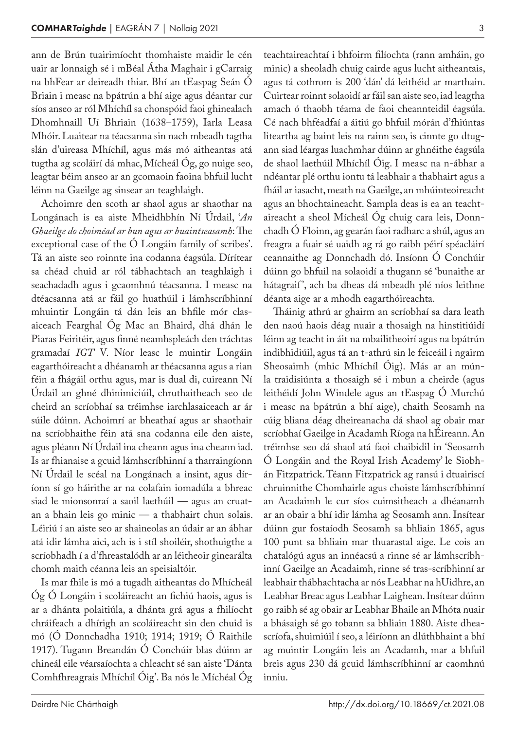ann de Brún tuairimíocht thomhaiste maidir le cén uair ar lonnaigh sé i mBéal Átha Maghair i gCarraig na bhFear ar deireadh thiar. Bhí an tEaspag Seán Ó Briain i measc na bpátrún a bhí aige agus déantar cur síos anseo ar ról Mhíchíl sa chonspóid faoi ghinealach Dhomhnaill Uí Bhriain (1638–1759), Iarla Leasa Mhóir. Luaitear na téacsanna sin nach mbeadh tagtha slán d'uireasa Mhíchíl, agus más mó aitheantas atá tugtha ag scoláirí dá mhac, Mícheál Óg, go nuige seo, leagtar béim anseo ar an gcomaoin faoina bhfuil lucht léinn na Gaeilge ag sinsear an teaghlaigh.

Achoimre den scoth ar shaol agus ar shaothar na Longánach is ea aiste Mheidhbhín Ní Úrdail, '*An Ghaeilge do choiméad ar bun agus ar buaintseasamh*: The exceptional case of the Ó Longáin family of scribes'. Tá an aiste seo roinnte ina codanna éagsúla. Dírítear sa chéad chuid ar ról tábhachtach an teaghlaigh i seachadadh agus i gcaomhnú téacsanna. I measc na dtéacsanna atá ar fáil go huathúil i lámhscríbhinní mhuintir Longáin tá dán leis an bhfile mór clasaiceach Fearghal Óg Mac an Bhaird, dhá dhán le Piaras Feiritéir, agus finné neamhspleách den tráchtas gramadaí *IGT* V. Níor leasc le muintir Longáin eagarthóireacht a dhéanamh ar théacsanna agus a rian féin a fhágáil orthu agus, mar is dual di, cuireann Ní Úrdail an ghné dhinimiciúil, chruthaitheach seo de cheird an scríobhaí sa tréimhse iarchlasaiceach ar ár súile dúinn. Achoimrí ar bheathaí agus ar shaothair na scríobhaithe féin atá sna codanna eile den aiste, agus pléann Ní Úrdail ina cheann agus ina cheann iad. Is ar fhianaise a gcuid lámhscríbhinní a tharraingíonn Ní Úrdail le scéal na Longánach a insint, agus díríonn sí go háirithe ar na colafain iomadúla a bhreac siad le mionsonraí a saoil laethúil — agus an cruatan a bhain leis go minic — a thabhairt chun solais. Léiriú í an aiste seo ar shaineolas an údair ar an ábhar atá idir lámha aici, ach is i stíl shoiléir, shothuigthe a scríobhadh í a d'fhreastalódh ar an léitheoir ginearálta chomh maith céanna leis an speisialtóir.

Is mar fhile is mó a tugadh aitheantas do Mhícheál Óg Ó Longáin i scoláireacht an fichiú haois, agus is ar a dhánta polaitiúla, a dhánta grá agus a fhilíocht chráifeach a dhírigh an scoláireacht sin den chuid is mó (Ó Donnchadha 1910; 1914; 1919; Ó Raithile 1917). Tugann Breandán Ó Conchúir blas dúinn ar chineál eile véarsaíochta a chleacht sé san aiste 'Dánta Comhfhreagrais Mhíchíl Óig'. Ba nós le Míchéal Óg teachtaireachtaí i bhfoirm filíochta (rann amháin, go minic) a sheoladh chuig cairde agus lucht aitheantais, agus tá cothrom is 200 'dán' dá leithéid ar marthain. Cuirtear roinnt solaoidí ar fáil san aiste seo, iad leagtha amach ó thaobh téama de faoi cheannteidil éagsúla. Cé nach bhféadfaí a áitiú go bhfuil mórán d'fhiúntas liteartha ag baint leis na rainn seo, is cinnte go dtugann siad léargas luachmhar dúinn ar ghnéithe éagsúla de shaol laethúil Mhíchíl Óig. I measc na n‑ábhar a ndéantar plé orthu iontu tá leabhair a thabhairt agus a fháil ar iasacht, meath na Gaeilge, an mhúinteoireacht agus an bhochtaineacht. Sampla deas is ea an teachtaireacht a sheol Mícheál Óg chuig cara leis, Donnchadh Ó Floinn, ag gearán faoi radharc a shúl, agus an freagra a fuair sé uaidh ag rá go raibh péirí spéacláirí ceannaithe ag Donnchadh dó. Insíonn Ó Conchúir dúinn go bhfuil na solaoidí a thugann sé 'bunaithe ar hátagraif', ach ba dheas dá mbeadh plé níos leithne déanta aige ar a mhodh eagarthóireachta.

Tháinig athrú ar ghairm an scríobhaí sa dara leath den naoú haois déag nuair a thosaigh na hinstitiúidí léinn ag teacht in áit na mbailitheoirí agus na bpátrún indibhidiúil, agus tá an t‑athrú sin le feiceáil i ngairm Sheosaimh (mhic Mhíchíl Óig). Más ar an múnla traidisiúnta a thosaigh sé i mbun a cheirde (agus leithéidí John Windele agus an tEaspag Ó Murchú i measc na bpátrún a bhí aige), chaith Seosamh na cúig bliana déag dheireanacha dá shaol ag obair mar scríobhaí Gaeilge in Acadamh Ríoga na hÉireann. An tréimhse seo dá shaol atá faoi chaibidil in 'Seosamh Ó Longáin and the Royal Irish Academy' le Siobh‑ án Fitzpatrick. Téann Fitzpatrick ag ransú i dtuairiscí chruinnithe Chomhairle agus choiste lámhscríbhinní an Acadaimh le cur síos cuimsitheach a dhéanamh ar an obair a bhí idir lámha ag Seosamh ann. Insítear dúinn gur fostaíodh Seosamh sa bhliain 1865, agus 100 punt sa bhliain mar thuarastal aige. Le cois an chatalógú agus an innéacsú a rinne sé ar lámhscríbhinní Gaeilge an Acadaimh, rinne sé tras-scríbhinní ar leabhair thábhachtacha ar nós Leabhar na hUidhre, an Leabhar Breac agus Leabhar Laighean. Insítear dúinn go raibh sé ag obair ar Leabhar Bhaile an Mhóta nuair a bhásaigh sé go tobann sa bhliain 1880. Aiste dheascríofa, shuimiúil í seo, a léiríonn an dlúthbhaint a bhí ag muintir Longáin leis an Acadamh, mar a bhfuil breis agus 230 dá gcuid lámhscríbhinní ar caomhnú inniu.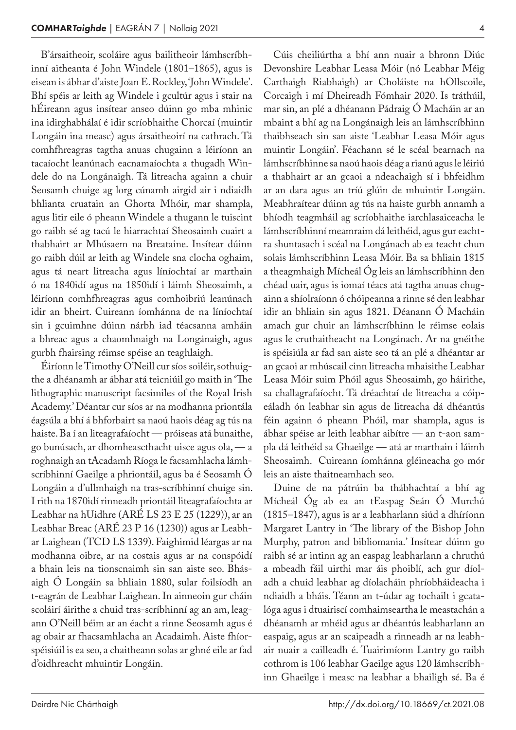B'ársaitheoir, scoláire agus bailitheoir lámhscríbhinní aitheanta é John Windele (1801–1865), agus is eisean is ábhar d'aiste Joan E. Rockley, 'John Windele'. Bhí spéis ar leith ag Windele i gcultúr agus i stair na hÉireann agus insítear anseo dúinn go mba mhinic ina idirghabhálaí é idir scríobhaithe Chorcaí (muintir Longáin ina measc) agus ársaitheoirí na cathrach. Tá comhfhreagras tagtha anuas chugainn a léiríonn an tacaíocht leanúnach eacnamaíochta a thugadh Windele do na Longánaigh. Tá litreacha againn a chuir Seosamh chuige ag lorg cúnamh airgid air i ndiaidh bhlianta cruatain an Ghorta Mhóir, mar shampla, agus litir eile ó pheann Windele a thugann le tuiscint go raibh sé ag tacú le hiarrachtaí Sheosaimh cuairt a thabhairt ar Mhúsaem na Breataine. Insítear dúinn go raibh dúil ar leith ag Windele sna clocha oghaim, agus tá neart litreacha agus líníochtaí ar marthain ó na 1840idí agus na 1850idí i láimh Sheosaimh, a léiríonn comhfhreagras agus comhoibriú leanúnach idir an bheirt. Cuireann íomhánna de na líníochtaí sin i gcuimhne dúinn nárbh iad téacsanna amháin a bhreac agus a chaomhnaigh na Longánaigh, agus gurbh fhairsing réimse spéise an teaghlaigh.

Éiríonn le Timothy O'Neill cur síos soiléir, sothuigthe a dhéanamh ar ábhar atá teicniúil go maith in 'The lithographic manuscript facsimiles of the Royal Irish Academy.' Déantar cur síos ar na modhanna priontála éagsúla a bhí á bhforbairt sa naoú haois déag ag tús na haiste. Ba í an liteagrafaíocht — próiseas atá bunaithe, go bunúsach, ar dhomheascthacht uisce agus ola, — a roghnaigh an tAcadamh Ríoga le facsamhlacha lámhscríbhinní Gaeilge a phriontáil, agus ba é Seosamh Ó Longáin a d'ullmhaigh na tras-scríbhinní chuige sin. I rith na 1870idí rinneadh priontáil liteagrafaíochta ar Leabhar na hUidhre (ARÉ LS 23 E 25 (1229)), ar an Leabhar Breac (ARÉ 23 P 16 (1230)) agus ar Leabh‑ ar Laighean (TCD LS 1339). Faighimid léargas ar na modhanna oibre, ar na costais agus ar na conspóidí a bhain leis na tionscnaimh sin san aiste seo. Bhás‑ aigh Ó Longáin sa bhliain 1880, sular foilsíodh an t-eagrán de Leabhar Laighean. In ainneoin gur cháin scoláirí áirithe a chuid tras-scríbhinní ag an am, leagann O'Neill béim ar an éacht a rinne Seosamh agus é ag obair ar fhacsamhlacha an Acadaimh. Aiste fhíorspéisiúil is ea seo, a chaitheann solas ar ghné eile ar fad d'oidhreacht mhuintir Longáin.

Cúis cheiliúrtha a bhí ann nuair a bhronn Diúc Devonshire Leabhar Leasa Móir (nó Leabhar Méig

Carthaigh Riabhaigh) ar Choláiste na hOllscoile, Corcaigh i mí Dheireadh Fómhair 2020. Is tráthúil, mar sin, an plé a dhéanann Pádraig Ó Macháin ar an mbaint a bhí ag na Longánaigh leis an lámhscríbhinn thaibhseach sin san aiste 'Leabhar Leasa Móir agus muintir Longáin'. Féachann sé le scéal bearnach na lámhscríbhinne sa naoú haois déag a rianú agus le léiriú a thabhairt ar an gcaoi a ndeachaigh sí i bhfeidhm ar an dara agus an tríú glúin de mhuintir Longáin. Meabhraítear dúinn ag tús na haiste gurbh annamh a bhíodh teagmháil ag scríobhaithe iarchlasaiceacha le lámhscríbhinní meamraim dá leithéid, agus gur eachtra shuntasach i scéal na Longánach ab ea teacht chun solais lámhscríbhinn Leasa Móir. Ba sa bhliain 1815 a theagmhaigh Mícheál Óg leis an lámhscríbhinn den chéad uair, agus is iomaí téacs atá tagtha anuas chugainn a shíolraíonn ó chóipeanna a rinne sé den leabhar idir an bhliain sin agus 1821. Déanann Ó Macháin amach gur chuir an lámhscríbhinn le réimse eolais agus le cruthaitheacht na Longánach. Ar na gnéithe is spéisiúla ar fad san aiste seo tá an plé a dhéantar ar an gcaoi ar mhúscail cinn litreacha mhaisithe Leabhar Leasa Móir suim Phóil agus Sheosaimh, go háirithe, sa challagrafaíocht. Tá dréachtaí de litreacha a cóipeáladh ón leabhar sin agus de litreacha dá dhéantús féin againn ó pheann Phóil, mar shampla, agus is ábhar spéise ar leith leabhar aibítre — an t-aon sampla dá leithéid sa Ghaeilge — atá ar marthain i láimh Sheosaimh. Cuireann íomhánna gléineacha go mór leis an aiste thaitneamhach seo.

Duine de na pátrúin ba thábhachtaí a bhí ag Mícheál Óg ab ea an tEaspag Seán Ó Murchú (1815–1847), agus is ar a leabharlann siúd a dhíríonn Margaret Lantry in 'The library of the Bishop John Murphy, patron and bibliomania.' Insítear dúinn go raibh sé ar intinn ag an easpag leabharlann a chruthú a mbeadh fáil uirthi mar áis phoiblí, ach gur díoladh a chuid leabhar ag díolacháin phríobháideacha i ndiaidh a bháis. Téann an t-údar ag tochailt i gcatalóga agus i dtuairiscí comhaimseartha le meastachán a dhéanamh ar mhéid agus ar dhéantús leabharlann an easpaig, agus ar an scaipeadh a rinneadh ar na leabhair nuair a cailleadh é. Tuairimíonn Lantry go raibh cothrom is 106 leabhar Gaeilge agus 120 lámhscríbhinn Ghaeilge i measc na leabhar a bhailigh sé. Ba é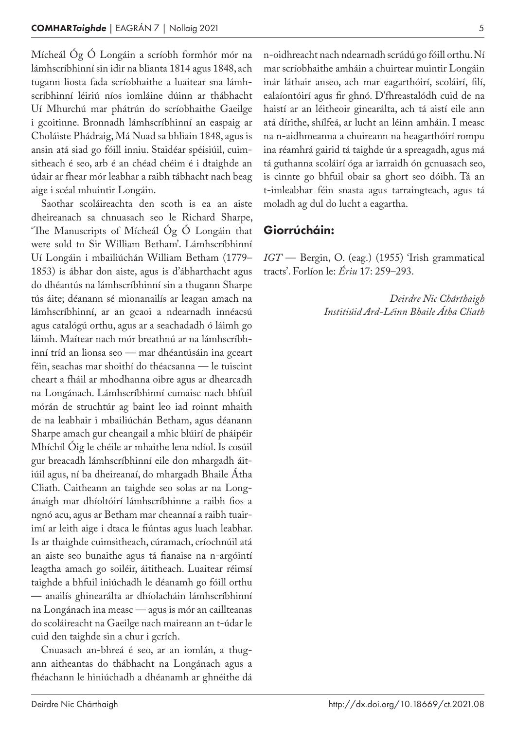Mícheál Óg Ó Longáin a scríobh formhór mór na lámhscríbhinní sin idir na blianta 1814 agus 1848, ach tugann liosta fada scríobhaithe a luaitear sna lámhscríbhinní léiriú níos iomláine dúinn ar thábhacht Uí Mhurchú mar phátrún do scríobhaithe Gaeilge i gcoitinne. Bronnadh lámhscríbhinní an easpaig ar Choláiste Phádraig, Má Nuad sa bhliain 1848, agus is ansin atá siad go fóill inniu. Staidéar spéisiúil, cuim‑ sitheach é seo, arb é an chéad chéim é i dtaighde an údair ar fhear mór leabhar a raibh tábhacht nach beag aige i scéal mhuintir Longáin.

Saothar scoláireachta den scoth is ea an aiste dheireanach sa chnuasach seo le Richard Sharpe, 'The Manuscripts of Mícheál Óg Ó Longáin that were sold to Sir William Betham'. Lámhscríbhinní Uí Longáin i mbailiúchán William Betham (1779– 1853) is ábhar don aiste, agus is d'ábharthacht agus do dhéantús na lámhscríbhinní sin a thugann Sharpe tús áite; déanann sé mionanailís ar leagan amach na lámhscríbhinní, ar an gcaoi a ndearnadh innéacsú agus catalógú orthu, agus ar a seachadadh ó láimh go láimh. Maítear nach mór breathnú ar na lámhscríbhinní tríd an lionsa seo — mar dhéantúsáin ina gceart féin, seachas mar shoithí do théacsanna — le tuiscint cheart a fháil ar mhodhanna oibre agus ar dhearcadh na Longánach. Lámhscríbhinní cumaisc nach bhfuil mórán de struchtúr ag baint leo iad roinnt mhaith de na leabhair i mbailiúchán Betham, agus déanann Sharpe amach gur cheangail a mhic blúirí de pháipéir Mhíchíl Óig le chéile ar mhaithe lena ndíol. Is cosúil gur breacadh lámhscríbhinní eile don mhargadh áitiúil agus, ní ba dheireanaí, do mhargadh Bhaile Átha Cliath. Caitheann an taighde seo solas ar na Longánaigh mar dhíoltóirí lámhscríbhinne a raibh fios a ngnó acu, agus ar Betham mar cheannaí a raibh tuairimí ar leith aige i dtaca le fiúntas agus luach leabhar. Is ar thaighde cuimsitheach, cúramach, críochnúil atá an aiste seo bunaithe agus tá fianaise na n‑argóintí leagtha amach go soiléir, áititheach. Luaitear réimsí taighde a bhfuil iniúchadh le déanamh go fóill orthu — anailís ghinearálta ar dhíolacháin lámhscríbhinní na Longánach ina measc — agus is mór an caillteanas do scoláireacht na Gaeilge nach maireann an t‑údar le cuid den taighde sin a chur i gcrích.

Cnuasach an-bhreá é seo, ar an iomlán, a thugann aitheantas do thábhacht na Longánach agus a fhéachann le hiniúchadh a dhéanamh ar ghnéithe dá n‑oidhreacht nach ndearnadh scrúdú go fóill orthu. Ní mar scríobhaithe amháin a chuirtear muintir Longáin inár láthair anseo, ach mar eagarthóirí, scoláirí, filí, ealaíontóirí agus fir ghnó. D'fhreastalódh cuid de na haistí ar an léitheoir ginearálta, ach tá aistí eile ann atá dírithe, shílfeá, ar lucht an léinn amháin. I measc na n‑aidhmeanna a chuireann na heagarthóirí rompu ina réamhrá gairid tá taighde úr a spreagadh, agus má tá guthanna scoláirí óga ar iarraidh ón gcnuasach seo, is cinnte go bhfuil obair sa ghort seo dóibh. Tá an t-imleabhar féin snasta agus tarraingteach, agus tá moladh ag dul do lucht a eagartha.

### Giorrúcháin:

*IGT* — Bergin, O. (eag.) (1955) 'Irish grammatical tracts'. Forlíon le: *Ériu* 17: 259–293.

> *Deirdre Nic Chárthaigh Institiúid Ard-Léinn Bhaile Átha Cliath*